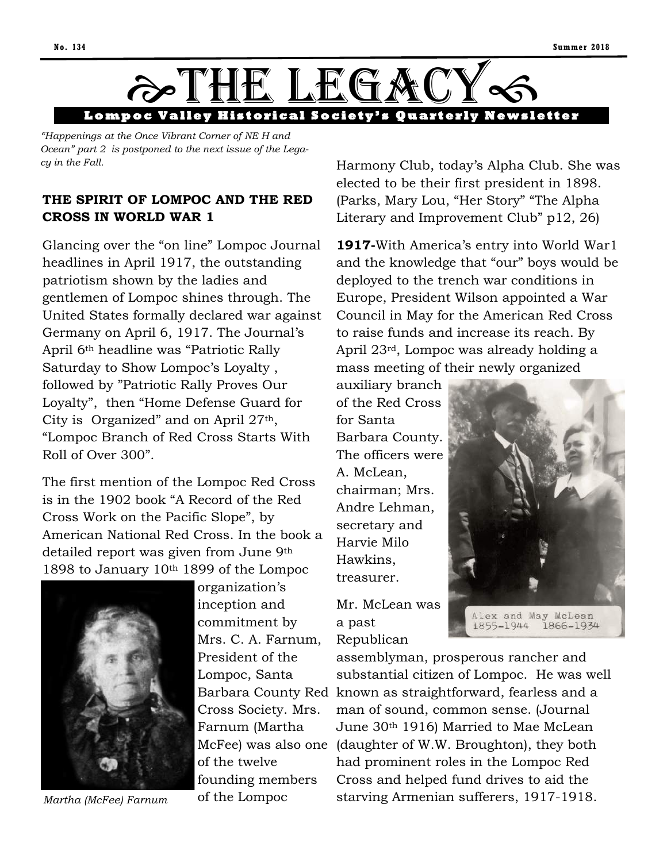

*"Happenings at the Once Vibrant Corner of NE H and Ocean" part 2 is postponed to the next issue of the Legacy in the Fall.*

#### **THE SPIRIT OF LOMPOC AND THE RED CROSS IN WORLD WAR 1**

Glancing over the "on line" Lompoc Journal headlines in April 1917, the outstanding patriotism shown by the ladies and gentlemen of Lompoc shines through. The United States formally declared war against Germany on April 6, 1917. The Journal's April 6th headline was "Patriotic Rally Saturday to Show Lompoc's Loyalty , followed by "Patriotic Rally Proves Our Loyalty", then "Home Defense Guard for City is Organized" and on April 27th, "Lompoc Branch of Red Cross Starts With Roll of Over 300".

The first mention of the Lompoc Red Cross is in the 1902 book "A Record of the Red Cross Work on the Pacific Slope", by American National Red Cross. In the book a detailed report was given from June 9th 1898 to January 10th 1899 of the Lompoc



*Martha (McFee) Farnum*

organization's inception and commitment by Mrs. C. A. Farnum, President of the Lompoc, Santa Cross Society. Mrs. Farnum (Martha of the twelve founding members of the Lompoc

Harmony Club, today's Alpha Club. She was elected to be their first president in 1898. (Parks, Mary Lou, "Her Story" "The Alpha Literary and Improvement Club" p12, 26)

**1917-**With America's entry into World War1 and the knowledge that "our" boys would be deployed to the trench war conditions in Europe, President Wilson appointed a War Council in May for the American Red Cross to raise funds and increase its reach. By April 23rd, Lompoc was already holding a mass meeting of their newly organized

auxiliary branch of the Red Cross for Santa Barbara County. The officers were A. McLean, chairman; Mrs. Andre Lehman, secretary and Harvie Milo Hawkins, treasurer.

Mr. McLean was a past Republican



1866-1934 1855-1944

Barbara County Red known as straightforward, fearless and a McFee) was also one (daughter of W.W. Broughton), they both assemblyman, prosperous rancher and substantial citizen of Lompoc. He was well man of sound, common sense. (Journal June 30th 1916) Married to Mae McLean had prominent roles in the Lompoc Red Cross and helped fund drives to aid the starving Armenian sufferers, 1917-1918.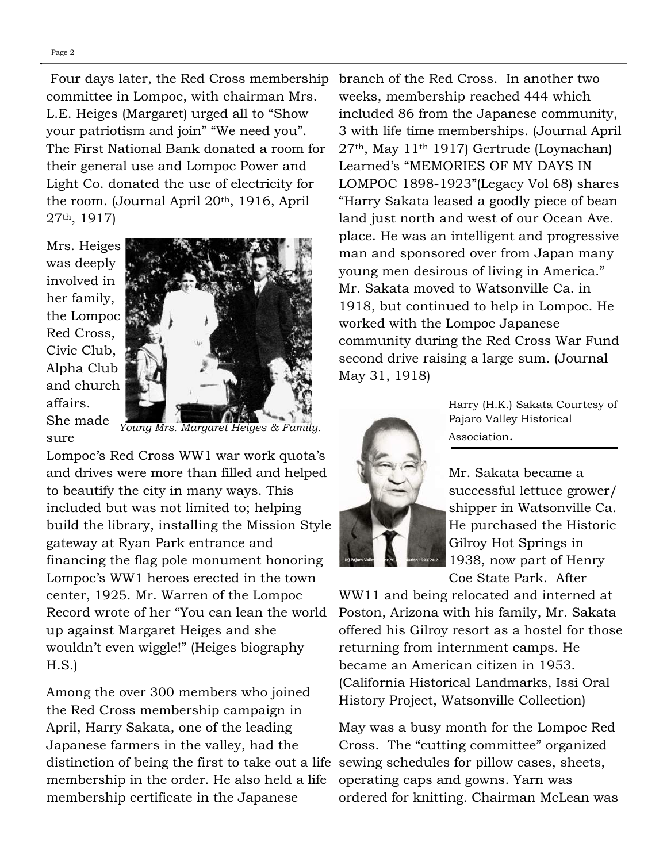Four days later, the Red Cross membership committee in Lompoc, with chairman Mrs. L.E. Heiges (Margaret) urged all to "Show your patriotism and join" "We need you". The First National Bank donated a room for their general use and Lompoc Power and Light Co. donated the use of electricity for the room. (Journal April 20th, 1916, April 27th, 1917)

Mrs. Heiges was deeply involved in her family, the Lompoc Red Cross, Civic Club, Alpha Club and church affairs. She made



sure *Young Mrs. Margaret Heiges & Family.* 

Lompoc's Red Cross WW1 war work quota's and drives were more than filled and helped to beautify the city in many ways. This included but was not limited to; helping build the library, installing the Mission Style gateway at Ryan Park entrance and financing the flag pole monument honoring Lompoc's WW1 heroes erected in the town center, 1925. Mr. Warren of the Lompoc Record wrote of her "You can lean the world up against Margaret Heiges and she wouldn't even wiggle!" (Heiges biography H.S.)

Among the over 300 members who joined the Red Cross membership campaign in April, Harry Sakata, one of the leading Japanese farmers in the valley, had the distinction of being the first to take out a life sewing schedules for pillow cases, sheets, membership in the order. He also held a life membership certificate in the Japanese

branch of the Red Cross. In another two weeks, membership reached 444 which included 86 from the Japanese community, 3 with life time memberships. (Journal April 27th, May 11th 1917) Gertrude (Loynachan) Learned's "MEMORIES OF MY DAYS IN LOMPOC 1898-1923"(Legacy Vol 68) shares "Harry Sakata leased a goodly piece of bean land just north and west of our Ocean Ave. place. He was an intelligent and progressive man and sponsored over from Japan many young men desirous of living in America." Mr. Sakata moved to Watsonville Ca. in 1918, but continued to help in Lompoc. He worked with the Lompoc Japanese community during the Red Cross War Fund second drive raising a large sum. (Journal May 31, 1918)



Harry (H.K.) Sakata Courtesy of Pajaro Valley Historical Association.

Mr. Sakata became a successful lettuce grower/ shipper in Watsonville Ca. He purchased the Historic Gilroy Hot Springs in 1938, now part of Henry Coe State Park. After

WW11 and being relocated and interned at Poston, Arizona with his family, Mr. Sakata offered his Gilroy resort as a hostel for those returning from internment camps. He became an American citizen in 1953. (California Historical Landmarks, Issi Oral History Project, Watsonville Collection)

May was a busy month for the Lompoc Red Cross. The "cutting committee" organized operating caps and gowns. Yarn was ordered for knitting. Chairman McLean was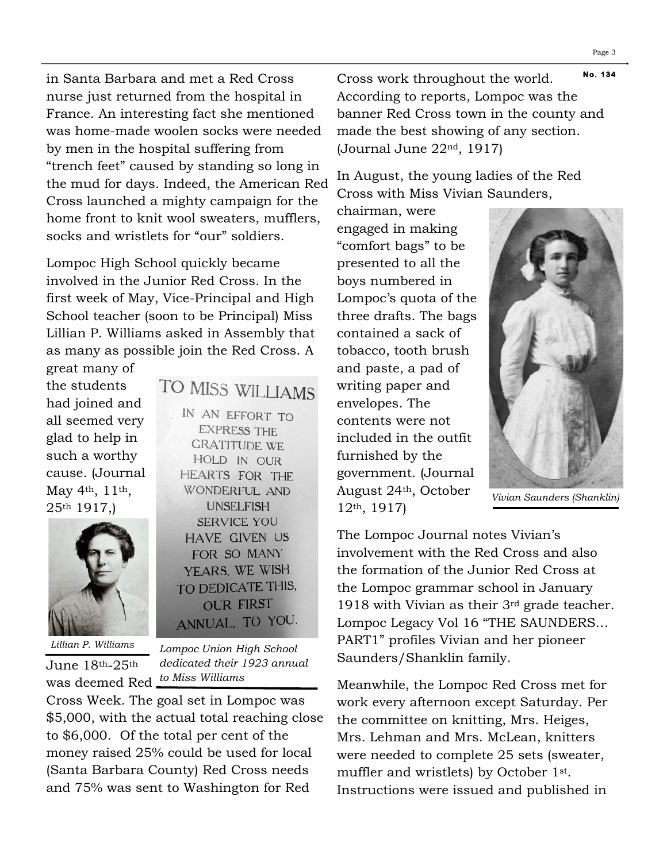in Santa Barbara and met a Red Cross nurse just returned from the hospital in France. An interesting fact she mentioned was home-made woolen socks were needed by men in the hospital suffering from "trench feet" caused by standing so long in the mud for days. Indeed, the American Red Cross launched a mighty campaign for the home front to knit wool sweaters, mufflers, socks and wristlets for "our" soldiers.

Lompoc High School quickly became involved in the Junior Red Cross. In the first week of May, Vice-Principal and High School teacher (soon to be Principal) Miss Lillian P. Williams asked in Assembly that as many as possible join the Red Cross. A

great many of the students had joined and all seemed very glad to help in such a worthy cause. (Journal May 4th, 11th, 25th 1917,)



June 18th-25th

IN AN EFFORT TO **EXPRESS THE GRATITUDE WE** HOLD IN OUR **HEARTS FOR THE WONDERFUL AND UNSELFISH SERVICE YOU HAVE GIVEN US** FOR SO MANY YEARS, WE WISH TO DEDICATE THIS,

TO MISS WILLIAMS

ANNUAL, TO YOU. *Lillian P. Williams Lompoc Union High School dedicated their 1923 annual* 

**OUR FIRST** 

was deemed Red *to Miss Williams* Cross Week. The goal set in Lompoc was \$5,000, with the actual total reaching close to \$6,000. Of the total per cent of the money raised 25% could be used for local (Santa Barbara County) Red Cross needs and 75% was sent to Washington for Red

**N o. 134**  Cross work throughout the world. According to reports, Lompoc was the banner Red Cross town in the county and made the best showing of any section. (Journal June 22nd, 1917)

In August, the young ladies of the Red Cross with Miss Vivian Saunders,

chairman, were engaged in making "comfort bags" to be presented to all the boys numbered in Lompoc's quota of the three drafts. The bags contained a sack of tobacco, tooth brush and paste, a pad of writing paper and envelopes. The contents were not included in the outfit furnished by the government. (Journal August 24th, October 12th, 1917)



*Vivian Saunders (Shanklin)* 

The Lompoc Journal notes Vivian's involvement with the Red Cross and also the formation of the Junior Red Cross at the Lompoc grammar school in January 1918 with Vivian as their 3rd grade teacher. Lompoc Legacy Vol 16 "THE SAUNDERS… PART1" profiles Vivian and her pioneer Saunders/Shanklin family.

Meanwhile, the Lompoc Red Cross met for work every afternoon except Saturday. Per the committee on knitting, Mrs. Heiges, Mrs. Lehman and Mrs. McLean, knitters were needed to complete 25 sets (sweater, muffler and wristlets) by October 1st. Instructions were issued and published in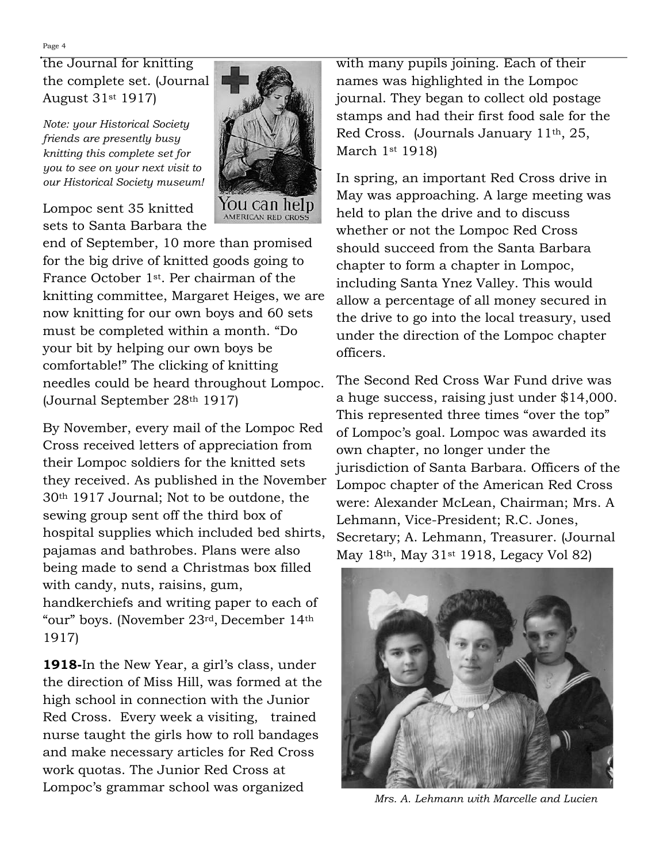the Journal for knitting the complete set. (Journal August 31st 1917)

*Note: your Historical Society friends are presently busy knitting this complete set for you to see on your next visit to our Historical Society museum!*

Lompoc sent 35 knitted sets to Santa Barbara the



By November, every mail of the Lompoc Red Cross received letters of appreciation from their Lompoc soldiers for the knitted sets they received. As published in the November 30th 1917 Journal; Not to be outdone, the sewing group sent off the third box of hospital supplies which included bed shirts, pajamas and bathrobes. Plans were also being made to send a Christmas box filled with candy, nuts, raisins, gum, handkerchiefs and writing paper to each of "our" boys. (November 23rd, December 14th 1917)

**1918-**In the New Year, a girl's class, under the direction of Miss Hill, was formed at the high school in connection with the Junior Red Cross. Every week a visiting, trained nurse taught the girls how to roll bandages and make necessary articles for Red Cross work quotas. The Junior Red Cross at Lompoc's grammar school was organized

with many pupils joining. Each of their names was highlighted in the Lompoc journal. They began to collect old postage stamps and had their first food sale for the Red Cross. (Journals January 11th, 25, March 1st 1918)

In spring, an important Red Cross drive in May was approaching. A large meeting was held to plan the drive and to discuss whether or not the Lompoc Red Cross should succeed from the Santa Barbara chapter to form a chapter in Lompoc, including Santa Ynez Valley. This would allow a percentage of all money secured in the drive to go into the local treasury, used under the direction of the Lompoc chapter officers.

The Second Red Cross War Fund drive was a huge success, raising just under \$14,000. This represented three times "over the top" of Lompoc's goal. Lompoc was awarded its own chapter, no longer under the jurisdiction of Santa Barbara. Officers of the Lompoc chapter of the American Red Cross were: Alexander McLean, Chairman; Mrs. A Lehmann, Vice-President; R.C. Jones, Secretary; A. Lehmann, Treasurer. (Journal May 18th, May 31st 1918, Legacy Vol 82)



*Mrs. A. Lehmann with Marcelle and Lucien* 

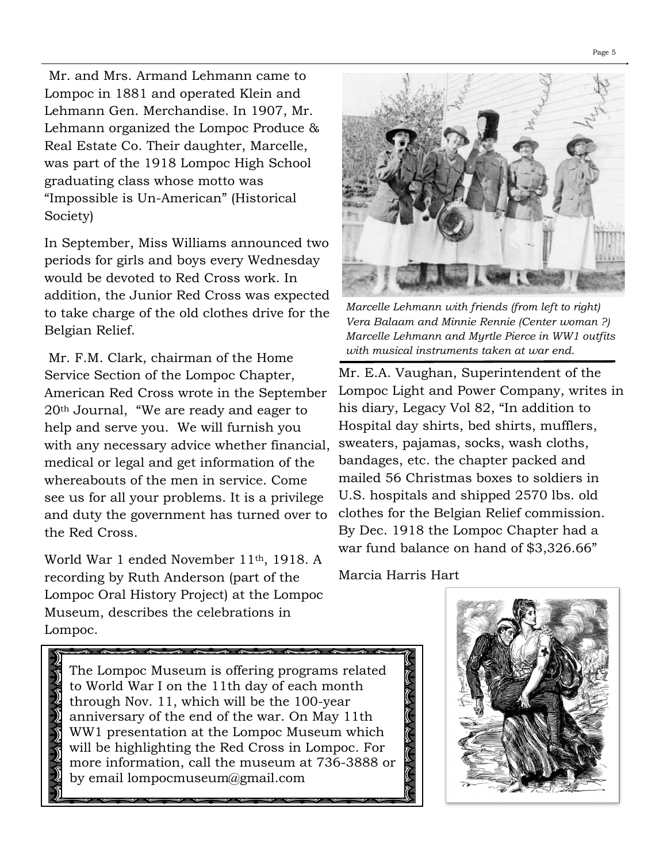Mr. and Mrs. Armand Lehmann came to Lompoc in 1881 and operated Klein and Lehmann Gen. Merchandise. In 1907, Mr. Lehmann organized the Lompoc Produce & Real Estate Co. Their daughter, Marcelle, was part of the 1918 Lompoc High School graduating class whose motto was "Impossible is Un-American" (Historical Society)

In September, Miss Williams announced two periods for girls and boys every Wednesday would be devoted to Red Cross work. In addition, the Junior Red Cross was expected to take charge of the old clothes drive for the Belgian Relief.

Mr. F.M. Clark, chairman of the Home Service Section of the Lompoc Chapter, American Red Cross wrote in the September 20th Journal, "We are ready and eager to help and serve you. We will furnish you with any necessary advice whether financial, medical or legal and get information of the whereabouts of the men in service. Come see us for all your problems. It is a privilege and duty the government has turned over to the Red Cross.

World War 1 ended November 11th, 1918. A recording by Ruth Anderson (part of the Lompoc Oral History Project) at the Lompoc Museum, describes the celebrations in Lompoc.



*Marcelle Lehmann with friends (from left to right) Vera Balaam and Minnie Rennie (Center woman ?) Marcelle Lehmann and Myrtle Pierce in WW1 outfits with musical instruments taken at war end.* 

Mr. E.A. Vaughan, Superintendent of the Lompoc Light and Power Company, writes in his diary, Legacy Vol 82, "In addition to Hospital day shirts, bed shirts, mufflers, sweaters, pajamas, socks, wash cloths, bandages, etc. the chapter packed and mailed 56 Christmas boxes to soldiers in U.S. hospitals and shipped 2570 lbs. old clothes for the Belgian Relief commission. By Dec. 1918 the Lompoc Chapter had a war fund balance on hand of \$3,326.66"

Marcia Harris Hart

ואון היינו אין געווארן דער אין דער פון דער פון דער פון דער פון דער פון דער פון דער פון דער פון דער פון דער פון

The Lompoc Museum is [offering programs related](http://lompocrecord.com/news/local/lompoc-museum-to-kick-off-series-on-veterans-day-commemorating/article_99fc1ab3-bdca-560b-b2e7-cc0cc80b1140.html)  [to World War I](http://lompocrecord.com/news/local/lompoc-museum-to-kick-off-series-on-veterans-day-commemorating/article_99fc1ab3-bdca-560b-b2e7-cc0cc80b1140.html) on the 11th day of each month through Nov. 11, which will be the 100-year anniversary of the end of the war. On May 11th WW1 presentation at the Lompoc Museum which will be highlighting the Red Cross in Lompoc. For more information, call the museum at 736-3888 or by email [lompocmuseum@gmail.com](mailto:lompocmuseum@gmail.com) 

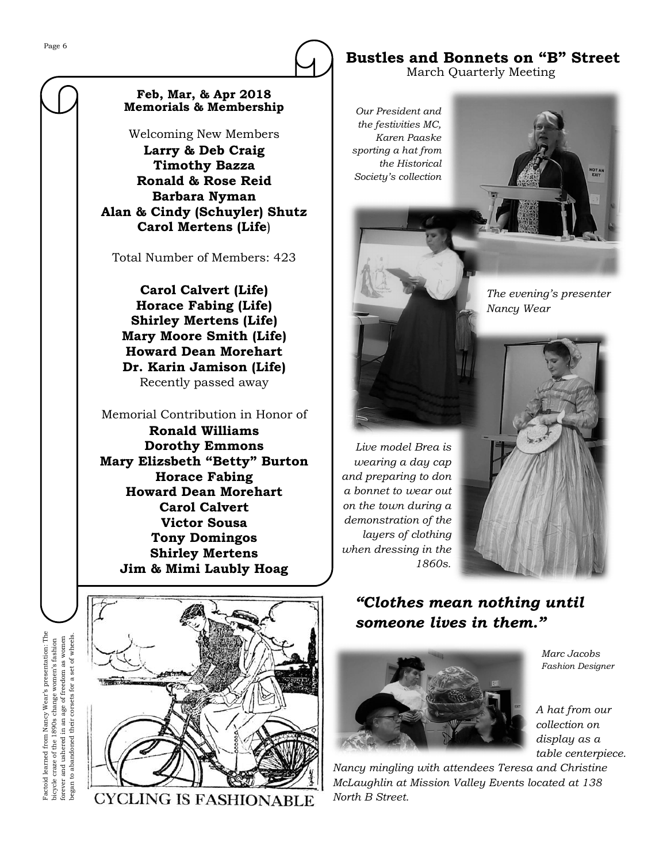#### **Feb, Mar, & Apr 2018 Memorials & Membership**

Welcoming New Members **Larry & Deb Craig Timothy Bazza Ronald & Rose Reid Barbara Nyman Alan & Cindy (Schuyler) Shutz Carol Mertens (Life**)

Total Number of Members: 423

**Carol Calvert (Life) Horace Fabing (Life) Shirley Mertens (Life) Mary Moore Smith (Life) Howard Dean Morehart Dr. Karin Jamison (Life)** Recently passed away

Memorial Contribution in Honor of **Ronald Williams Dorothy Emmons Mary Elizsbeth "Betty" Burton Horace Fabing Howard Dean Morehart Carol Calvert Victor Sousa Tony Domingos Shirley Mertens Jim & Mimi Laubly Hoag**



**CYCLING IS FASHIONABLE** 

**Bustles and Bonnets on "B" Street** March Quarterly Meeting

*Our President and the festivities MC, Karen Paaske sporting a hat from the Historical Society's collection*

> *The evening's presenter Nancy Wear*

**VOTAN** 

*Live model Brea is wearing a day cap and preparing to don a bonnet to wear out on the town during a demonstration of the layers of clothing when dressing in the 1860s.*



#### *"Clothes mean nothing until someone lives in them."*



*Marc Jacobs Fashion Designer*

*A hat from our collection on display as a table centerpiece.* 

*Nancy mingling with attendees Teresa and Christine McLaughlin at Mission Valley Events located at 138 North B Street.*

Factoid learned from Nancy Wear's presentation: The Wear's presentation: The bicycle craze of the 1890s change women's fashion forever and ushered in an age of freedom as women began to abandoned their corsets for a set of wheels. began to abandoned their corsets for a set of wheels.forever and ushered in an age of freedom as women bicycle craze of the 1890s change women's fashion Pactoid learned from Nancy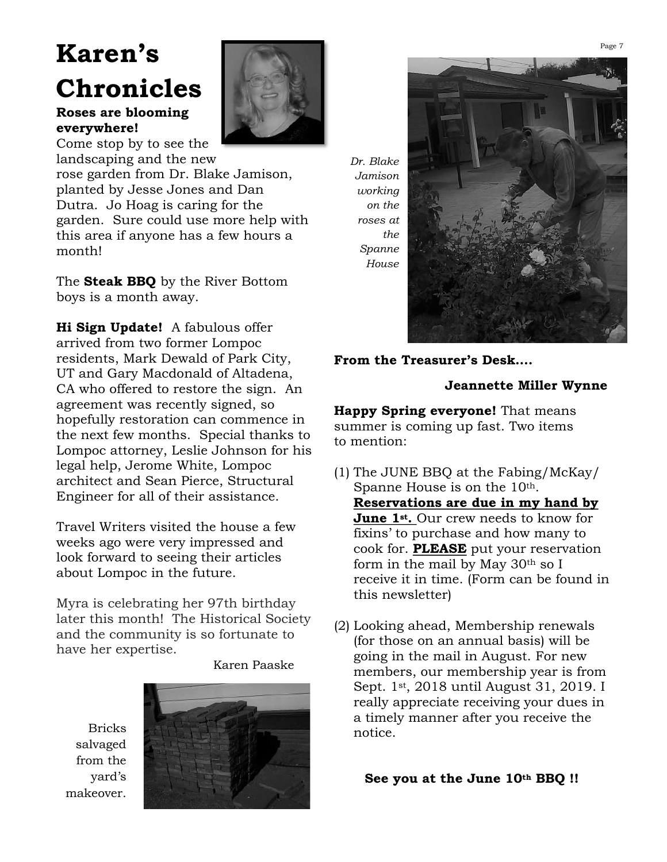# **Karen's Chronicles**

#### **Roses are blooming everywhere!**

Come stop by to see the landscaping and the new

rose garden from Dr. Blake Jamison, planted by Jesse Jones and Dan Dutra. Jo Hoag is caring for the garden. Sure could use more help with this area if anyone has a few hours a month!

The **Steak BBQ** by the River Bottom boys is a month away.

**Hi Sign Update!** A fabulous offer arrived from two former Lompoc residents, Mark Dewald of Park City, UT and Gary Macdonald of Altadena, CA who offered to restore the sign. An agreement was recently signed, so hopefully restoration can commence in the next few months. Special thanks to Lompoc attorney, Leslie Johnson for his legal help, Jerome White, Lompoc architect and Sean Pierce, Structural Engineer for all of their assistance.

Travel Writers visited the house a few weeks ago were very impressed and look forward to seeing their articles about Lompoc in the future.

Myra is celebrating her 97th birthday later this month! The Historical Society and the community is so fortunate to have her expertise.

Karen Paaske

Bricks salvaged from the yard's makeover.



*Dr. Blake Jamison working on the roses at the Spanne House*



#### **From the Treasurer's Desk….**

#### **Jeannette Miller Wynne**

**Happy Spring everyone!** That means summer is coming up fast. Two items to mention:

- (1) The JUNE BBQ at the Fabing/McKay/ Spanne House is on the 10<sup>th</sup>. **Reservations are due in my hand by June 1st.** Our crew needs to know for fixins' to purchase and how many to cook for. **PLEASE** put your reservation form in the mail by May 30th so I receive it in time. (Form can be found in this newsletter)
- (2) Looking ahead, Membership renewals (for those on an annual basis) will be going in the mail in August. For new members, our membership year is from Sept. 1st, 2018 until August 31, 2019. I really appreciate receiving your dues in a timely manner after you receive the notice.

#### **See you at the June 10th BBQ !!**